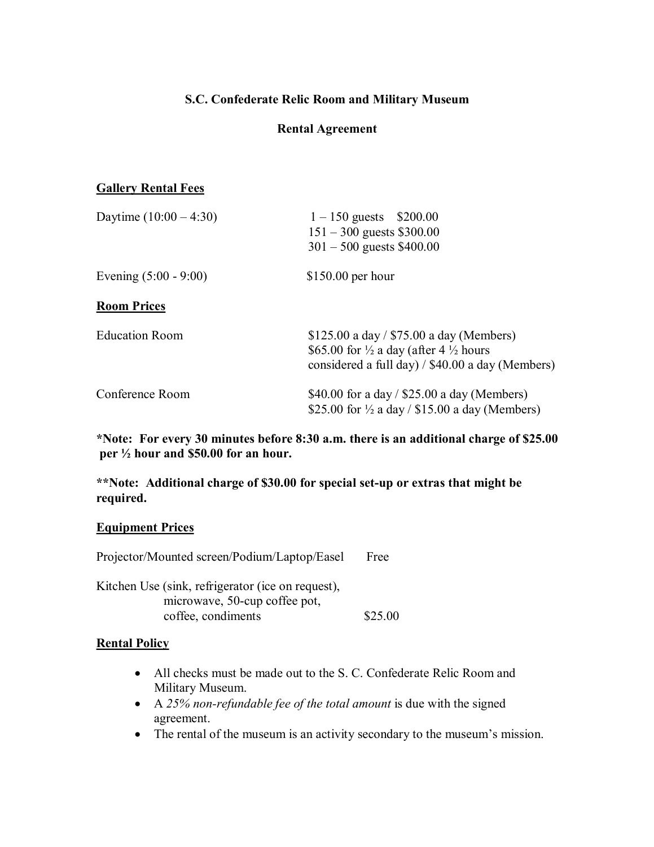## **S.C. Confederate Relic Room and Military Museum**

## **Rental Agreement**

#### **Gallery Rental Fees**

| Daytime $(10:00 - 4:30)$ | $1 - 150$ guests \$200.00<br>$151 - 300$ guests \$300.00<br>$301 - 500$ guests \$400.00                                                                       |  |  |
|--------------------------|---------------------------------------------------------------------------------------------------------------------------------------------------------------|--|--|
| Evening $(5:00 - 9:00)$  | $$150.00$ per hour                                                                                                                                            |  |  |
| <b>Room Prices</b>       |                                                                                                                                                               |  |  |
| <b>Education Room</b>    | \$125.00 a day / $$75.00$ a day (Members)<br>\$65.00 for $\frac{1}{2}$ a day (after 4 $\frac{1}{2}$ hours<br>considered a full day) / \$40.00 a day (Members) |  |  |
| Conference Room          | \$40.00 for a day / \$25.00 a day (Members)<br>\$25.00 for $\frac{1}{2}$ a day / \$15.00 a day (Members)                                                      |  |  |

**\*Note: For every 30 minutes before 8:30 a.m. there is an additional charge of \$25.00 per ½ hour and \$50.00 for an hour.**

**\*\*Note: Additional charge of \$30.00 for special setup or extras that might be required.**

#### **Equipment Prices**

| Projector/Mounted screen/Podium/Laptop/Easel      | Free    |
|---------------------------------------------------|---------|
| Kitchen Use (sink, refrigerator (ice on request), |         |
| microwave, 50-cup coffee pot,                     |         |
| coffee, condiments                                | \$25.00 |

## **Rental Policy**

- All checks must be made out to the S. C. Confederate Relic Room and Military Museum.
- · A *25% nonrefundable fee of the total amount* is due with the signed agreement.
- · The rental of the museum is an activity secondary to the museum's mission.